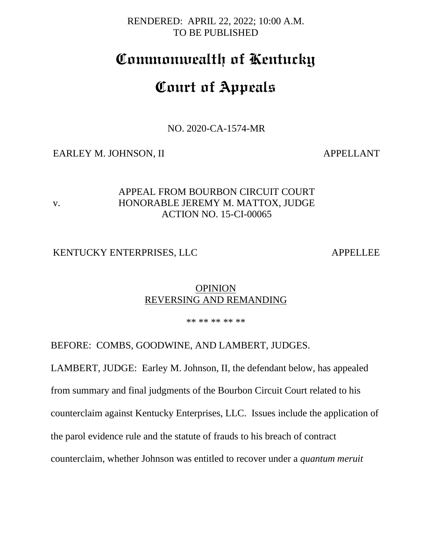RENDERED: APRIL 22, 2022; 10:00 A.M. TO BE PUBLISHED

## **Commonwealth of Kentucky**

# **Court of Appeals**

NO. 2020-CA-1574-MR

#### EARLEY M. JOHNSON, II APPELLANT

v.

## APPEAL FROM BOURBON CIRCUIT COURT HONORABLE JEREMY M. MATTOX, JUDGE ACTION NO. 15-CI-00065

#### KENTUCKY ENTERPRISES, LLC APPELLEE

### **OPINION** REVERSING AND REMANDING

\*\* \*\* \*\* \*\* \*\*

BEFORE: COMBS, GOODWINE, AND LAMBERT, JUDGES.

LAMBERT, JUDGE: Earley M. Johnson, II, the defendant below, has appealed from summary and final judgments of the Bourbon Circuit Court related to his counterclaim against Kentucky Enterprises, LLC. Issues include the application of the parol evidence rule and the statute of frauds to his breach of contract counterclaim, whether Johnson was entitled to recover under a *quantum meruit*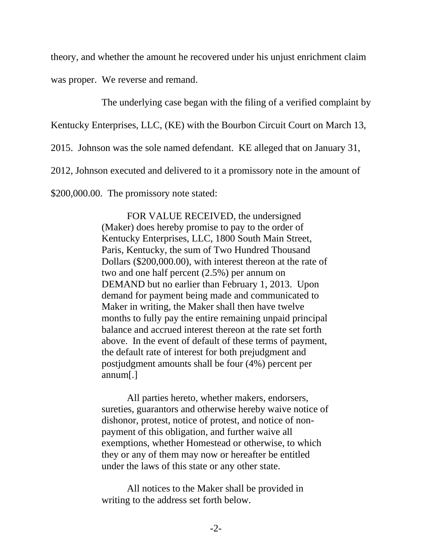theory, and whether the amount he recovered under his unjust enrichment claim was proper. We reverse and remand.

The underlying case began with the filing of a verified complaint by

Kentucky Enterprises, LLC, (KE) with the Bourbon Circuit Court on March 13,

2015. Johnson was the sole named defendant. KE alleged that on January 31,

2012, Johnson executed and delivered to it a promissory note in the amount of

\$200,000.00. The promissory note stated:

FOR VALUE RECEIVED, the undersigned (Maker) does hereby promise to pay to the order of Kentucky Enterprises, LLC, 1800 South Main Street, Paris, Kentucky, the sum of Two Hundred Thousand Dollars (\$200,000.00), with interest thereon at the rate of two and one half percent (2.5%) per annum on DEMAND but no earlier than February 1, 2013. Upon demand for payment being made and communicated to Maker in writing, the Maker shall then have twelve months to fully pay the entire remaining unpaid principal balance and accrued interest thereon at the rate set forth above. In the event of default of these terms of payment, the default rate of interest for both prejudgment and postjudgment amounts shall be four (4%) percent per annum[.]

All parties hereto, whether makers, endorsers, sureties, guarantors and otherwise hereby waive notice of dishonor, protest, notice of protest, and notice of nonpayment of this obligation, and further waive all exemptions, whether Homestead or otherwise, to which they or any of them may now or hereafter be entitled under the laws of this state or any other state.

All notices to the Maker shall be provided in writing to the address set forth below.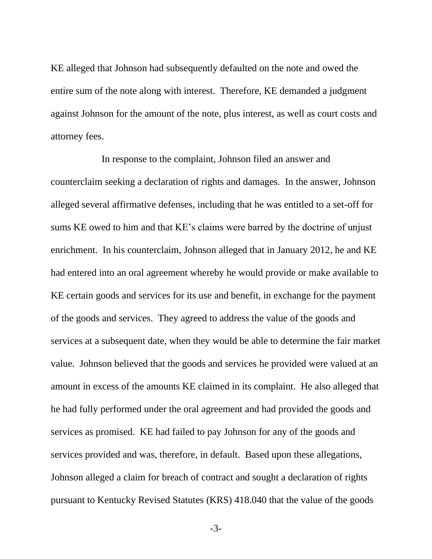KE alleged that Johnson had subsequently defaulted on the note and owed the entire sum of the note along with interest. Therefore, KE demanded a judgment against Johnson for the amount of the note, plus interest, as well as court costs and attorney fees.

In response to the complaint, Johnson filed an answer and counterclaim seeking a declaration of rights and damages. In the answer, Johnson alleged several affirmative defenses, including that he was entitled to a set-off for sums KE owed to him and that KE's claims were barred by the doctrine of unjust enrichment. In his counterclaim, Johnson alleged that in January 2012, he and KE had entered into an oral agreement whereby he would provide or make available to KE certain goods and services for its use and benefit, in exchange for the payment of the goods and services. They agreed to address the value of the goods and services at a subsequent date, when they would be able to determine the fair market value. Johnson believed that the goods and services he provided were valued at an amount in excess of the amounts KE claimed in its complaint. He also alleged that he had fully performed under the oral agreement and had provided the goods and services as promised. KE had failed to pay Johnson for any of the goods and services provided and was, therefore, in default. Based upon these allegations, Johnson alleged a claim for breach of contract and sought a declaration of rights pursuant to Kentucky Revised Statutes (KRS) 418.040 that the value of the goods

-3-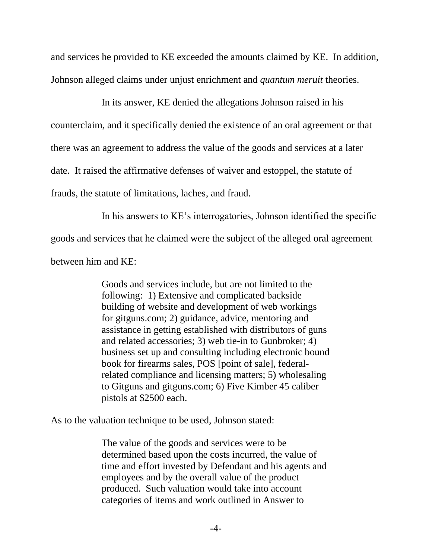and services he provided to KE exceeded the amounts claimed by KE. In addition, Johnson alleged claims under unjust enrichment and *quantum meruit* theories.

In its answer, KE denied the allegations Johnson raised in his counterclaim, and it specifically denied the existence of an oral agreement or that there was an agreement to address the value of the goods and services at a later date. It raised the affirmative defenses of waiver and estoppel, the statute of frauds, the statute of limitations, laches, and fraud.

In his answers to KE's interrogatories, Johnson identified the specific goods and services that he claimed were the subject of the alleged oral agreement

between him and KE:

Goods and services include, but are not limited to the following: 1) Extensive and complicated backside building of website and development of web workings for gitguns.com; 2) guidance, advice, mentoring and assistance in getting established with distributors of guns and related accessories; 3) web tie-in to Gunbroker; 4) business set up and consulting including electronic bound book for firearms sales, POS [point of sale], federalrelated compliance and licensing matters; 5) wholesaling to Gitguns and gitguns.com; 6) Five Kimber 45 caliber pistols at \$2500 each.

As to the valuation technique to be used, Johnson stated:

The value of the goods and services were to be determined based upon the costs incurred, the value of time and effort invested by Defendant and his agents and employees and by the overall value of the product produced. Such valuation would take into account categories of items and work outlined in Answer to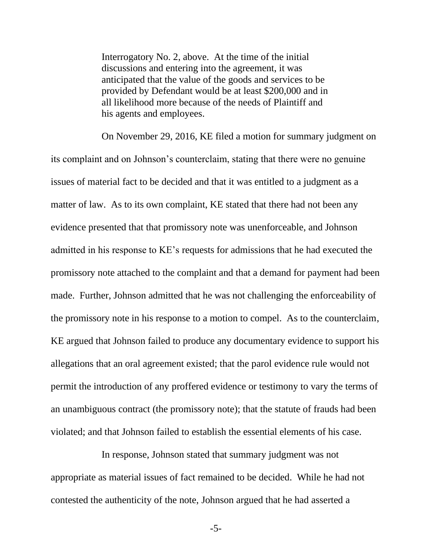Interrogatory No. 2, above. At the time of the initial discussions and entering into the agreement, it was anticipated that the value of the goods and services to be provided by Defendant would be at least \$200,000 and in all likelihood more because of the needs of Plaintiff and his agents and employees.

On November 29, 2016, KE filed a motion for summary judgment on its complaint and on Johnson's counterclaim, stating that there were no genuine issues of material fact to be decided and that it was entitled to a judgment as a matter of law. As to its own complaint, KE stated that there had not been any evidence presented that that promissory note was unenforceable, and Johnson admitted in his response to KE's requests for admissions that he had executed the promissory note attached to the complaint and that a demand for payment had been made. Further, Johnson admitted that he was not challenging the enforceability of the promissory note in his response to a motion to compel. As to the counterclaim, KE argued that Johnson failed to produce any documentary evidence to support his allegations that an oral agreement existed; that the parol evidence rule would not permit the introduction of any proffered evidence or testimony to vary the terms of an unambiguous contract (the promissory note); that the statute of frauds had been violated; and that Johnson failed to establish the essential elements of his case.

In response, Johnson stated that summary judgment was not appropriate as material issues of fact remained to be decided. While he had not contested the authenticity of the note, Johnson argued that he had asserted a

-5-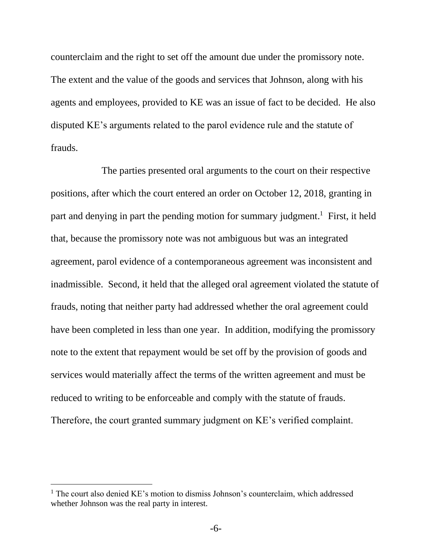counterclaim and the right to set off the amount due under the promissory note. The extent and the value of the goods and services that Johnson, along with his agents and employees, provided to KE was an issue of fact to be decided. He also disputed KE's arguments related to the parol evidence rule and the statute of frauds.

The parties presented oral arguments to the court on their respective positions, after which the court entered an order on October 12, 2018, granting in part and denying in part the pending motion for summary judgment.<sup>1</sup> First, it held that, because the promissory note was not ambiguous but was an integrated agreement, parol evidence of a contemporaneous agreement was inconsistent and inadmissible. Second, it held that the alleged oral agreement violated the statute of frauds, noting that neither party had addressed whether the oral agreement could have been completed in less than one year. In addition, modifying the promissory note to the extent that repayment would be set off by the provision of goods and services would materially affect the terms of the written agreement and must be reduced to writing to be enforceable and comply with the statute of frauds. Therefore, the court granted summary judgment on KE's verified complaint.

 $<sup>1</sup>$  The court also denied KE's motion to dismiss Johnson's counterclaim, which addressed</sup> whether Johnson was the real party in interest.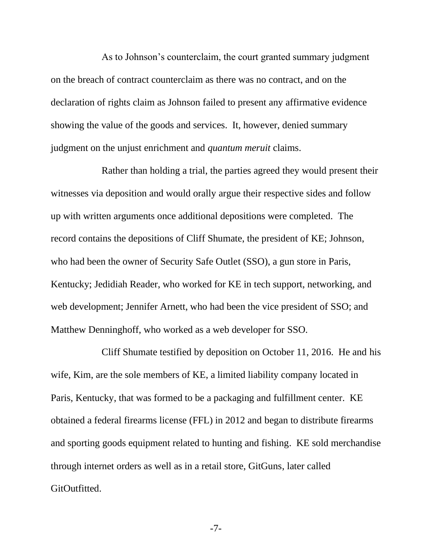As to Johnson's counterclaim, the court granted summary judgment on the breach of contract counterclaim as there was no contract, and on the declaration of rights claim as Johnson failed to present any affirmative evidence showing the value of the goods and services. It, however, denied summary judgment on the unjust enrichment and *quantum meruit* claims.

Rather than holding a trial, the parties agreed they would present their witnesses via deposition and would orally argue their respective sides and follow up with written arguments once additional depositions were completed. The record contains the depositions of Cliff Shumate, the president of KE; Johnson, who had been the owner of Security Safe Outlet (SSO), a gun store in Paris, Kentucky; Jedidiah Reader, who worked for KE in tech support, networking, and web development; Jennifer Arnett, who had been the vice president of SSO; and Matthew Denninghoff, who worked as a web developer for SSO.

Cliff Shumate testified by deposition on October 11, 2016. He and his wife, Kim, are the sole members of KE, a limited liability company located in Paris, Kentucky, that was formed to be a packaging and fulfillment center. KE obtained a federal firearms license (FFL) in 2012 and began to distribute firearms and sporting goods equipment related to hunting and fishing. KE sold merchandise through internet orders as well as in a retail store, GitGuns, later called GitOutfitted.

-7-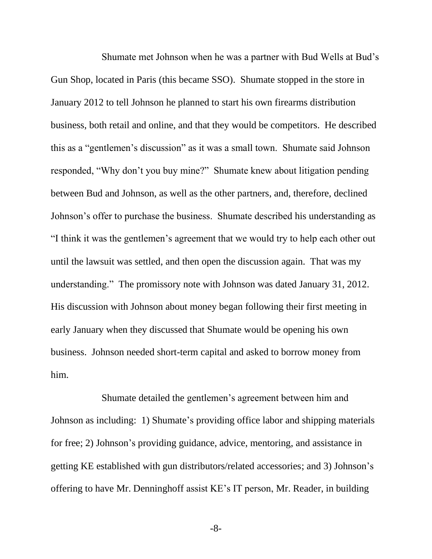Shumate met Johnson when he was a partner with Bud Wells at Bud's Gun Shop, located in Paris (this became SSO). Shumate stopped in the store in January 2012 to tell Johnson he planned to start his own firearms distribution business, both retail and online, and that they would be competitors. He described this as a "gentlemen's discussion" as it was a small town. Shumate said Johnson responded, "Why don't you buy mine?" Shumate knew about litigation pending between Bud and Johnson, as well as the other partners, and, therefore, declined Johnson's offer to purchase the business. Shumate described his understanding as "I think it was the gentlemen's agreement that we would try to help each other out until the lawsuit was settled, and then open the discussion again. That was my understanding." The promissory note with Johnson was dated January 31, 2012. His discussion with Johnson about money began following their first meeting in early January when they discussed that Shumate would be opening his own business. Johnson needed short-term capital and asked to borrow money from him.

Shumate detailed the gentlemen's agreement between him and Johnson as including: 1) Shumate's providing office labor and shipping materials for free; 2) Johnson's providing guidance, advice, mentoring, and assistance in getting KE established with gun distributors/related accessories; and 3) Johnson's offering to have Mr. Denninghoff assist KE's IT person, Mr. Reader, in building

-8-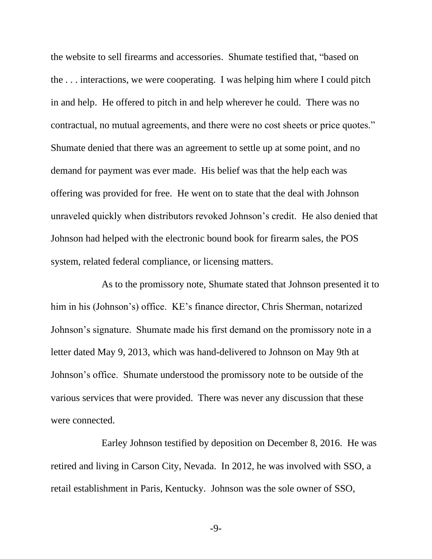the website to sell firearms and accessories. Shumate testified that, "based on the . . . interactions, we were cooperating. I was helping him where I could pitch in and help. He offered to pitch in and help wherever he could. There was no contractual, no mutual agreements, and there were no cost sheets or price quotes." Shumate denied that there was an agreement to settle up at some point, and no demand for payment was ever made. His belief was that the help each was offering was provided for free. He went on to state that the deal with Johnson unraveled quickly when distributors revoked Johnson's credit. He also denied that Johnson had helped with the electronic bound book for firearm sales, the POS system, related federal compliance, or licensing matters.

As to the promissory note, Shumate stated that Johnson presented it to him in his (Johnson's) office. KE's finance director, Chris Sherman, notarized Johnson's signature. Shumate made his first demand on the promissory note in a letter dated May 9, 2013, which was hand-delivered to Johnson on May 9th at Johnson's office. Shumate understood the promissory note to be outside of the various services that were provided. There was never any discussion that these were connected.

Earley Johnson testified by deposition on December 8, 2016. He was retired and living in Carson City, Nevada. In 2012, he was involved with SSO, a retail establishment in Paris, Kentucky. Johnson was the sole owner of SSO,

-9-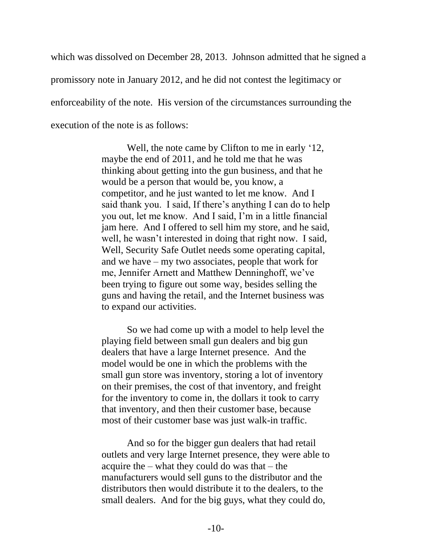which was dissolved on December 28, 2013. Johnson admitted that he signed a promissory note in January 2012, and he did not contest the legitimacy or enforceability of the note. His version of the circumstances surrounding the execution of the note is as follows:

> Well, the note came by Clifton to me in early '12, maybe the end of 2011, and he told me that he was thinking about getting into the gun business, and that he would be a person that would be, you know, a competitor, and he just wanted to let me know. And I said thank you. I said, If there's anything I can do to help you out, let me know. And I said, I'm in a little financial jam here. And I offered to sell him my store, and he said, well, he wasn't interested in doing that right now. I said, Well, Security Safe Outlet needs some operating capital, and we have – my two associates, people that work for me, Jennifer Arnett and Matthew Denninghoff, we've been trying to figure out some way, besides selling the guns and having the retail, and the Internet business was to expand our activities.

So we had come up with a model to help level the playing field between small gun dealers and big gun dealers that have a large Internet presence. And the model would be one in which the problems with the small gun store was inventory, storing a lot of inventory on their premises, the cost of that inventory, and freight for the inventory to come in, the dollars it took to carry that inventory, and then their customer base, because most of their customer base was just walk-in traffic.

And so for the bigger gun dealers that had retail outlets and very large Internet presence, they were able to acquire the – what they could do was that – the manufacturers would sell guns to the distributor and the distributors then would distribute it to the dealers, to the small dealers. And for the big guys, what they could do,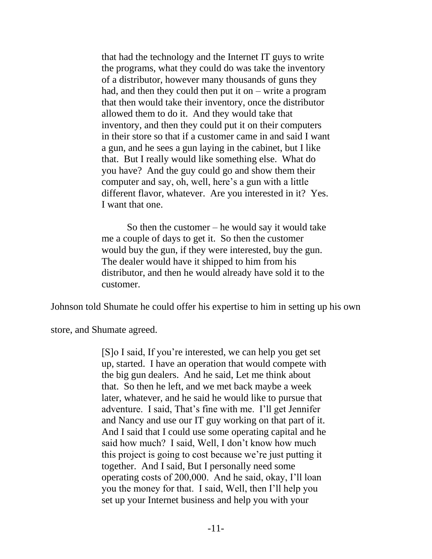that had the technology and the Internet IT guys to write the programs, what they could do was take the inventory of a distributor, however many thousands of guns they had, and then they could then put it on  $-$  write a program that then would take their inventory, once the distributor allowed them to do it. And they would take that inventory, and then they could put it on their computers in their store so that if a customer came in and said I want a gun, and he sees a gun laying in the cabinet, but I like that. But I really would like something else. What do you have? And the guy could go and show them their computer and say, oh, well, here's a gun with a little different flavor, whatever. Are you interested in it? Yes. I want that one.

So then the customer – he would say it would take me a couple of days to get it. So then the customer would buy the gun, if they were interested, buy the gun. The dealer would have it shipped to him from his distributor, and then he would already have sold it to the customer.

Johnson told Shumate he could offer his expertise to him in setting up his own

store, and Shumate agreed.

[S]o I said, If you're interested, we can help you get set up, started. I have an operation that would compete with the big gun dealers. And he said, Let me think about that. So then he left, and we met back maybe a week later, whatever, and he said he would like to pursue that adventure. I said, That's fine with me. I'll get Jennifer and Nancy and use our IT guy working on that part of it. And I said that I could use some operating capital and he said how much? I said, Well, I don't know how much this project is going to cost because we're just putting it together. And I said, But I personally need some operating costs of 200,000. And he said, okay, I'll loan you the money for that. I said, Well, then I'll help you set up your Internet business and help you with your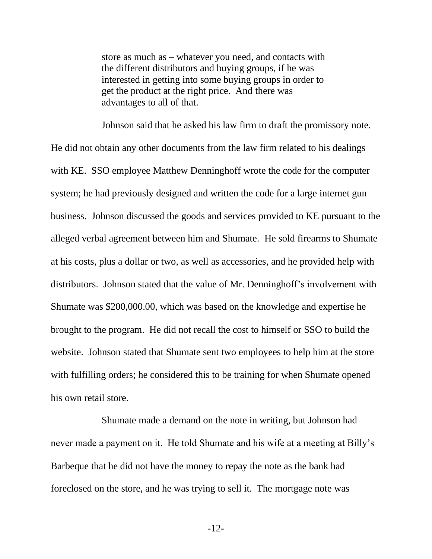store as much as – whatever you need, and contacts with the different distributors and buying groups, if he was interested in getting into some buying groups in order to get the product at the right price. And there was advantages to all of that.

Johnson said that he asked his law firm to draft the promissory note. He did not obtain any other documents from the law firm related to his dealings with KE. SSO employee Matthew Denninghoff wrote the code for the computer system; he had previously designed and written the code for a large internet gun business. Johnson discussed the goods and services provided to KE pursuant to the alleged verbal agreement between him and Shumate. He sold firearms to Shumate at his costs, plus a dollar or two, as well as accessories, and he provided help with distributors. Johnson stated that the value of Mr. Denninghoff's involvement with Shumate was \$200,000.00, which was based on the knowledge and expertise he brought to the program. He did not recall the cost to himself or SSO to build the website. Johnson stated that Shumate sent two employees to help him at the store with fulfilling orders; he considered this to be training for when Shumate opened his own retail store.

Shumate made a demand on the note in writing, but Johnson had never made a payment on it. He told Shumate and his wife at a meeting at Billy's Barbeque that he did not have the money to repay the note as the bank had foreclosed on the store, and he was trying to sell it. The mortgage note was

-12-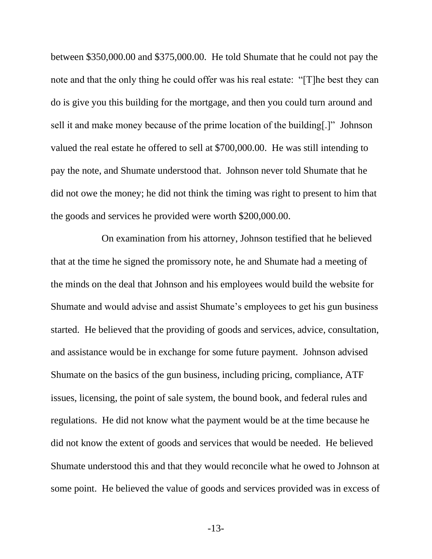between \$350,000.00 and \$375,000.00. He told Shumate that he could not pay the note and that the only thing he could offer was his real estate: "[T]he best they can do is give you this building for the mortgage, and then you could turn around and sell it and make money because of the prime location of the building[.]" Johnson valued the real estate he offered to sell at \$700,000.00. He was still intending to pay the note, and Shumate understood that. Johnson never told Shumate that he did not owe the money; he did not think the timing was right to present to him that the goods and services he provided were worth \$200,000.00.

On examination from his attorney, Johnson testified that he believed that at the time he signed the promissory note, he and Shumate had a meeting of the minds on the deal that Johnson and his employees would build the website for Shumate and would advise and assist Shumate's employees to get his gun business started. He believed that the providing of goods and services, advice, consultation, and assistance would be in exchange for some future payment. Johnson advised Shumate on the basics of the gun business, including pricing, compliance, ATF issues, licensing, the point of sale system, the bound book, and federal rules and regulations. He did not know what the payment would be at the time because he did not know the extent of goods and services that would be needed. He believed Shumate understood this and that they would reconcile what he owed to Johnson at some point. He believed the value of goods and services provided was in excess of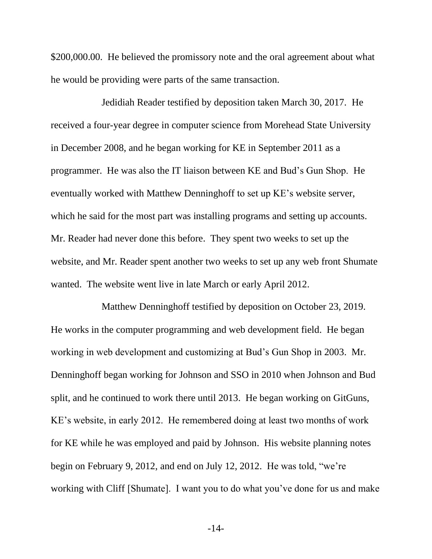\$200,000.00. He believed the promissory note and the oral agreement about what he would be providing were parts of the same transaction.

Jedidiah Reader testified by deposition taken March 30, 2017. He received a four-year degree in computer science from Morehead State University in December 2008, and he began working for KE in September 2011 as a programmer. He was also the IT liaison between KE and Bud's Gun Shop. He eventually worked with Matthew Denninghoff to set up KE's website server, which he said for the most part was installing programs and setting up accounts. Mr. Reader had never done this before. They spent two weeks to set up the website, and Mr. Reader spent another two weeks to set up any web front Shumate wanted. The website went live in late March or early April 2012.

Matthew Denninghoff testified by deposition on October 23, 2019. He works in the computer programming and web development field. He began working in web development and customizing at Bud's Gun Shop in 2003. Mr. Denninghoff began working for Johnson and SSO in 2010 when Johnson and Bud split, and he continued to work there until 2013. He began working on GitGuns, KE's website, in early 2012. He remembered doing at least two months of work for KE while he was employed and paid by Johnson. His website planning notes begin on February 9, 2012, and end on July 12, 2012. He was told, "we're working with Cliff [Shumate]. I want you to do what you've done for us and make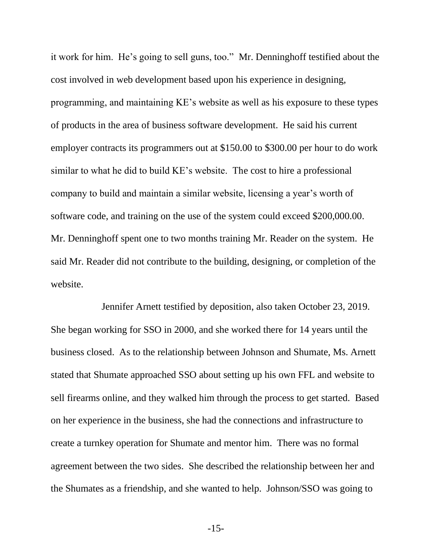it work for him. He's going to sell guns, too." Mr. Denninghoff testified about the cost involved in web development based upon his experience in designing, programming, and maintaining KE's website as well as his exposure to these types of products in the area of business software development. He said his current employer contracts its programmers out at \$150.00 to \$300.00 per hour to do work similar to what he did to build KE's website. The cost to hire a professional company to build and maintain a similar website, licensing a year's worth of software code, and training on the use of the system could exceed \$200,000.00. Mr. Denninghoff spent one to two months training Mr. Reader on the system. He said Mr. Reader did not contribute to the building, designing, or completion of the website.

Jennifer Arnett testified by deposition, also taken October 23, 2019. She began working for SSO in 2000, and she worked there for 14 years until the business closed. As to the relationship between Johnson and Shumate, Ms. Arnett stated that Shumate approached SSO about setting up his own FFL and website to sell firearms online, and they walked him through the process to get started. Based on her experience in the business, she had the connections and infrastructure to create a turnkey operation for Shumate and mentor him. There was no formal agreement between the two sides. She described the relationship between her and the Shumates as a friendship, and she wanted to help. Johnson/SSO was going to

-15-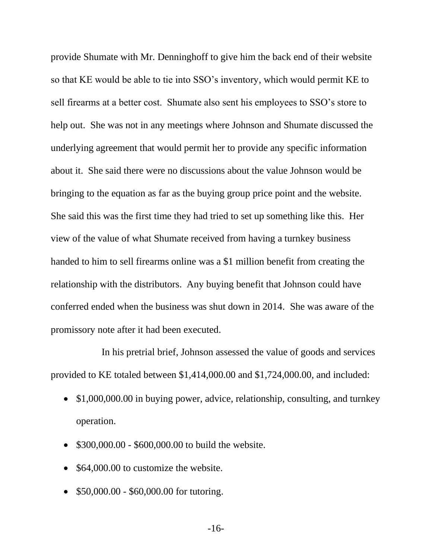provide Shumate with Mr. Denninghoff to give him the back end of their website so that KE would be able to tie into SSO's inventory, which would permit KE to sell firearms at a better cost. Shumate also sent his employees to SSO's store to help out. She was not in any meetings where Johnson and Shumate discussed the underlying agreement that would permit her to provide any specific information about it. She said there were no discussions about the value Johnson would be bringing to the equation as far as the buying group price point and the website. She said this was the first time they had tried to set up something like this. Her view of the value of what Shumate received from having a turnkey business handed to him to sell firearms online was a \$1 million benefit from creating the relationship with the distributors. Any buying benefit that Johnson could have conferred ended when the business was shut down in 2014. She was aware of the promissory note after it had been executed.

In his pretrial brief, Johnson assessed the value of goods and services provided to KE totaled between \$1,414,000.00 and \$1,724,000.00, and included:

- \$1,000,000.00 in buying power, advice, relationship, consulting, and turnkey operation.
- \$300,000.00 \$600,000.00 to build the website.
- \$64,000.00 to customize the website.
- \$50,000.00 \$60,000.00 for tutoring.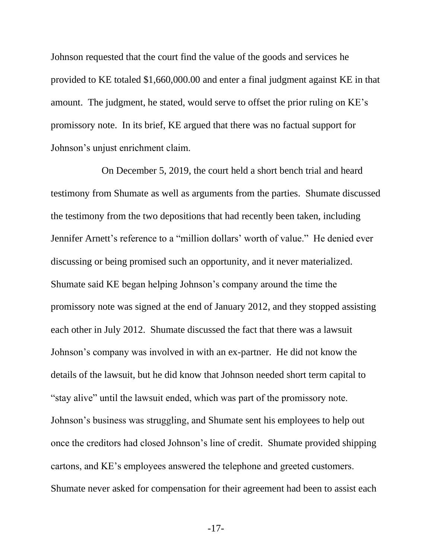Johnson requested that the court find the value of the goods and services he provided to KE totaled \$1,660,000.00 and enter a final judgment against KE in that amount. The judgment, he stated, would serve to offset the prior ruling on KE's promissory note. In its brief, KE argued that there was no factual support for Johnson's unjust enrichment claim.

On December 5, 2019, the court held a short bench trial and heard testimony from Shumate as well as arguments from the parties. Shumate discussed the testimony from the two depositions that had recently been taken, including Jennifer Arnett's reference to a "million dollars' worth of value." He denied ever discussing or being promised such an opportunity, and it never materialized. Shumate said KE began helping Johnson's company around the time the promissory note was signed at the end of January 2012, and they stopped assisting each other in July 2012. Shumate discussed the fact that there was a lawsuit Johnson's company was involved in with an ex-partner. He did not know the details of the lawsuit, but he did know that Johnson needed short term capital to "stay alive" until the lawsuit ended, which was part of the promissory note. Johnson's business was struggling, and Shumate sent his employees to help out once the creditors had closed Johnson's line of credit. Shumate provided shipping cartons, and KE's employees answered the telephone and greeted customers. Shumate never asked for compensation for their agreement had been to assist each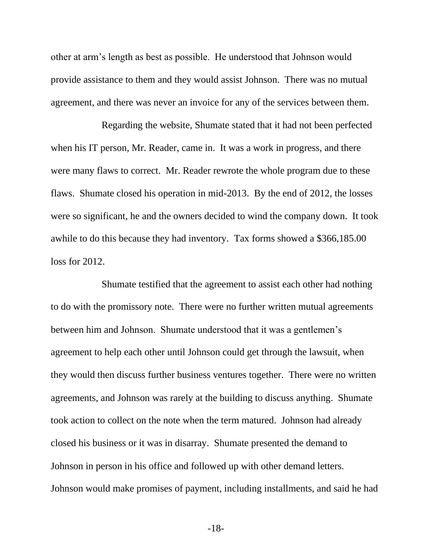other at arm's length as best as possible. He understood that Johnson would provide assistance to them and they would assist Johnson. There was no mutual agreement, and there was never an invoice for any of the services between them.

Regarding the website, Shumate stated that it had not been perfected when his IT person, Mr. Reader, came in. It was a work in progress, and there were many flaws to correct. Mr. Reader rewrote the whole program due to these flaws. Shumate closed his operation in mid-2013. By the end of 2012, the losses were so significant, he and the owners decided to wind the company down. It took awhile to do this because they had inventory. Tax forms showed a \$366,185.00 loss for 2012.

Shumate testified that the agreement to assist each other had nothing to do with the promissory note. There were no further written mutual agreements between him and Johnson. Shumate understood that it was a gentlemen's agreement to help each other until Johnson could get through the lawsuit, when they would then discuss further business ventures together. There were no written agreements, and Johnson was rarely at the building to discuss anything. Shumate took action to collect on the note when the term matured. Johnson had already closed his business or it was in disarray. Shumate presented the demand to Johnson in person in his office and followed up with other demand letters. Johnson would make promises of payment, including installments, and said he had

-18-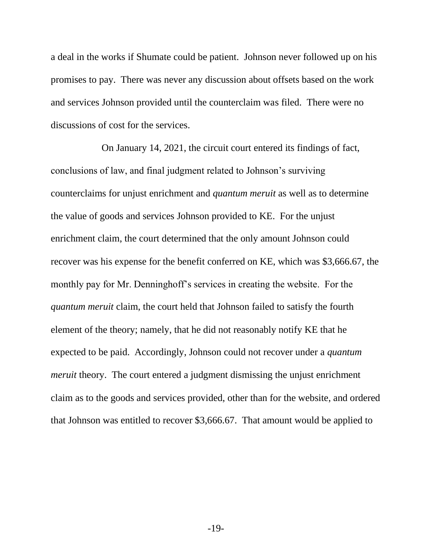a deal in the works if Shumate could be patient. Johnson never followed up on his promises to pay. There was never any discussion about offsets based on the work and services Johnson provided until the counterclaim was filed. There were no discussions of cost for the services.

On January 14, 2021, the circuit court entered its findings of fact, conclusions of law, and final judgment related to Johnson's surviving counterclaims for unjust enrichment and *quantum meruit* as well as to determine the value of goods and services Johnson provided to KE. For the unjust enrichment claim, the court determined that the only amount Johnson could recover was his expense for the benefit conferred on KE, which was \$3,666.67, the monthly pay for Mr. Denninghoff's services in creating the website. For the *quantum meruit* claim, the court held that Johnson failed to satisfy the fourth element of the theory; namely, that he did not reasonably notify KE that he expected to be paid. Accordingly, Johnson could not recover under a *quantum meruit* theory. The court entered a judgment dismissing the unjust enrichment claim as to the goods and services provided, other than for the website, and ordered that Johnson was entitled to recover \$3,666.67. That amount would be applied to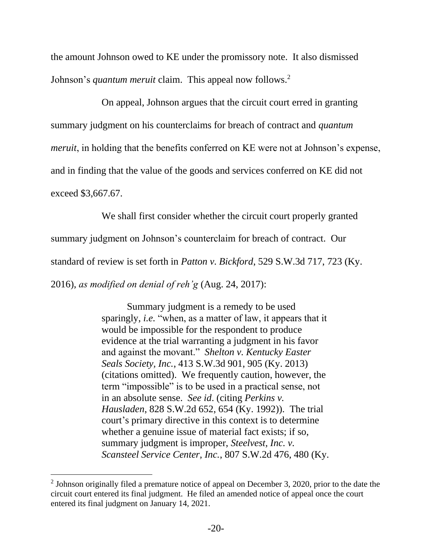the amount Johnson owed to KE under the promissory note. It also dismissed Johnson's *quantum meruit* claim. This appeal now follows.<sup>2</sup>

On appeal, Johnson argues that the circuit court erred in granting summary judgment on his counterclaims for breach of contract and *quantum meruit*, in holding that the benefits conferred on KE were not at Johnson's expense, and in finding that the value of the goods and services conferred on KE did not exceed \$3,667.67.

We shall first consider whether the circuit court properly granted

summary judgment on Johnson's counterclaim for breach of contract. Our

standard of review is set forth in *Patton v. Bickford*, 529 S.W.3d 717, 723 (Ky.

2016), *as modified on denial of reh'g* (Aug. 24, 2017):

Summary judgment is a remedy to be used sparingly, *i.e.* "when, as a matter of law, it appears that it would be impossible for the respondent to produce evidence at the trial warranting a judgment in his favor and against the movant." *Shelton v. Kentucky Easter Seals Society, Inc.*, 413 S.W.3d 901, 905 (Ky. 2013) (citations omitted). We frequently caution, however, the term "impossible" is to be used in a practical sense, not in an absolute sense. *See id*. (citing *Perkins v. Hausladen*, 828 S.W.2d 652, 654 (Ky. 1992)). The trial court's primary directive in this context is to determine whether a genuine issue of material fact exists; if so, summary judgment is improper, *Steelvest, Inc. v. Scansteel Service Center, Inc.*, 807 S.W.2d 476, 480 (Ky.

<sup>&</sup>lt;sup>2</sup> Johnson originally filed a premature notice of appeal on December 3, 2020, prior to the date the circuit court entered its final judgment. He filed an amended notice of appeal once the court entered its final judgment on January 14, 2021.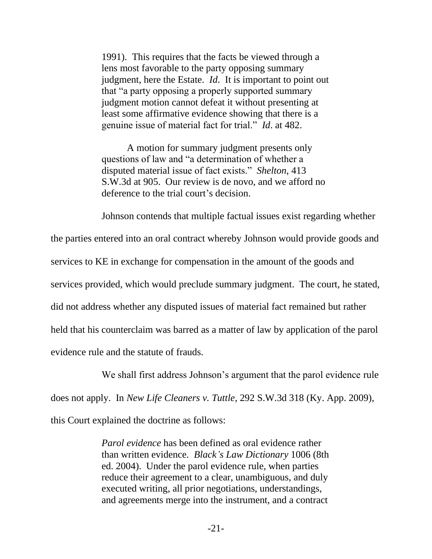1991). This requires that the facts be viewed through a lens most favorable to the party opposing summary judgment, here the Estate. *Id*. It is important to point out that "a party opposing a properly supported summary judgment motion cannot defeat it without presenting at least some affirmative evidence showing that there is a genuine issue of material fact for trial." *Id*. at 482.

A motion for summary judgment presents only questions of law and "a determination of whether a disputed material issue of fact exists." *Shelton*, 413 S.W.3d at 905. Our review is de novo, and we afford no deference to the trial court's decision.

Johnson contends that multiple factual issues exist regarding whether

the parties entered into an oral contract whereby Johnson would provide goods and services to KE in exchange for compensation in the amount of the goods and services provided, which would preclude summary judgment. The court, he stated, did not address whether any disputed issues of material fact remained but rather held that his counterclaim was barred as a matter of law by application of the parol evidence rule and the statute of frauds.

We shall first address Johnson's argument that the parol evidence rule does not apply. In *New Life Cleaners v. Tuttle*, 292 S.W.3d 318 (Ky. App. 2009), this Court explained the doctrine as follows:

> *Parol evidence* has been defined as oral evidence rather than written evidence. *Black's Law Dictionary* 1006 (8th ed. 2004). Under the parol evidence rule, when parties reduce their agreement to a clear, unambiguous, and duly executed writing, all prior negotiations, understandings, and agreements merge into the instrument, and a contract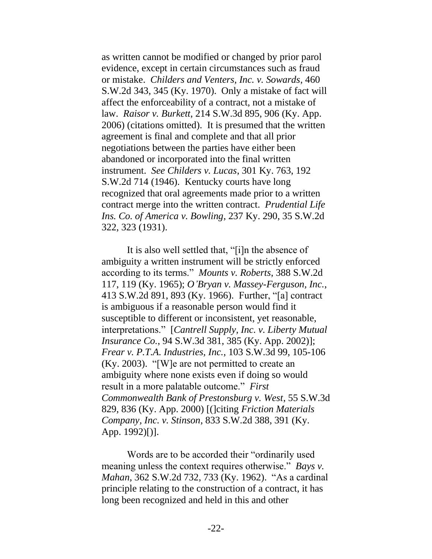as written cannot be modified or changed by prior parol evidence, except in certain circumstances such as fraud or mistake. *Childers and Venters, Inc. v. Sowards*, 460 S.W.2d 343, 345 (Ky. 1970). Only a mistake of fact will affect the enforceability of a contract, not a mistake of law. *Raisor v. Burkett*, 214 S.W.3d 895, 906 (Ky. App. 2006) (citations omitted). It is presumed that the written agreement is final and complete and that all prior negotiations between the parties have either been abandoned or incorporated into the final written instrument. *See Childers v. Lucas*, 301 Ky. 763, 192 S.W.2d 714 (1946). Kentucky courts have long recognized that oral agreements made prior to a written contract merge into the written contract. *Prudential Life Ins. Co. of America v. Bowling*, 237 Ky. 290, 35 S.W.2d 322, 323 (1931).

It is also well settled that, "[i]n the absence of ambiguity a written instrument will be strictly enforced according to its terms." *Mounts v. Roberts*, 388 S.W.2d 117, 119 (Ky. 1965); *O'Bryan v. Massey-Ferguson, Inc.*, 413 S.W.2d 891, 893 (Ky. 1966). Further, "[a] contract is ambiguous if a reasonable person would find it susceptible to different or inconsistent, yet reasonable, interpretations." [*Cantrell Supply, Inc. v. Liberty Mutual Insurance Co.*, 94 S.W.3d 381, 385 (Ky. App. 2002)]; *Frear v. P.T.A. Industries, Inc.*, 103 S.W.3d 99, 105-106 (Ky. 2003). "[W]e are not permitted to create an ambiguity where none exists even if doing so would result in a more palatable outcome." *First Commonwealth Bank of Prestonsburg v. West*, 55 S.W.3d 829, 836 (Ky. App. 2000) [(]citing *Friction Materials Company, Inc. v. Stinson*, 833 S.W.2d 388, 391 (Ky. App. 1992)[)].

Words are to be accorded their "ordinarily used meaning unless the context requires otherwise." *Bays v. Mahan*, 362 S.W.2d 732, 733 (Ky. 1962). "As a cardinal principle relating to the construction of a contract, it has long been recognized and held in this and other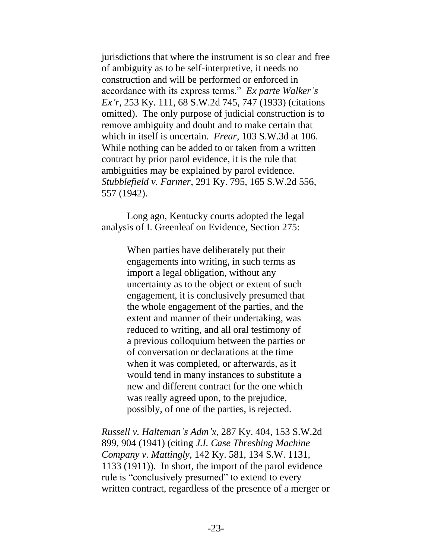jurisdictions that where the instrument is so clear and free of ambiguity as to be self-interpretive, it needs no construction and will be performed or enforced in accordance with its express terms." *Ex parte Walker's Ex'r*, 253 Ky. 111, 68 S.W.2d 745, 747 (1933) (citations omitted). The only purpose of judicial construction is to remove ambiguity and doubt and to make certain that which in itself is uncertain. *Frear*, 103 S.W.3d at 106. While nothing can be added to or taken from a written contract by prior parol evidence, it is the rule that ambiguities may be explained by parol evidence. *Stubblefield v. Farmer*, 291 Ky. 795, 165 S.W.2d 556, 557 (1942).

Long ago, Kentucky courts adopted the legal analysis of I. Greenleaf on Evidence, Section 275:

> When parties have deliberately put their engagements into writing, in such terms as import a legal obligation, without any uncertainty as to the object or extent of such engagement, it is conclusively presumed that the whole engagement of the parties, and the extent and manner of their undertaking, was reduced to writing, and all oral testimony of a previous colloquium between the parties or of conversation or declarations at the time when it was completed, or afterwards, as it would tend in many instances to substitute a new and different contract for the one which was really agreed upon, to the prejudice, possibly, of one of the parties, is rejected.

*Russell v. Halteman's Adm'x*, 287 Ky. 404, 153 S.W.2d 899, 904 (1941) (citing *J.I. Case Threshing Machine Company v. Mattingly*, 142 Ky. 581, 134 S.W. 1131, 1133 (1911)). In short, the import of the parol evidence rule is "conclusively presumed" to extend to every written contract, regardless of the presence of a merger or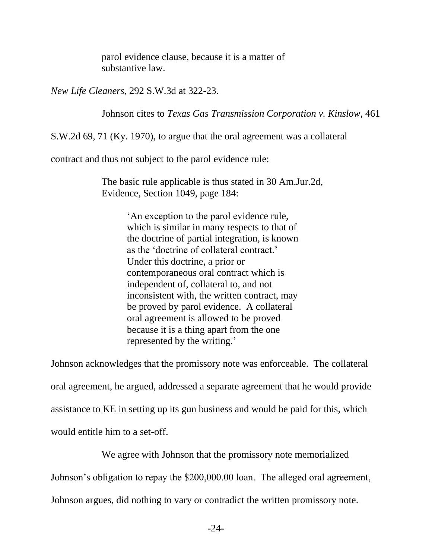parol evidence clause, because it is a matter of substantive law.

*New Life Cleaners*, 292 S.W.3d at 322-23.

Johnson cites to *Texas Gas Transmission Corporation v. Kinslow*, 461

S.W.2d 69, 71 (Ky. 1970), to argue that the oral agreement was a collateral

contract and thus not subject to the parol evidence rule:

The basic rule applicable is thus stated in 30 Am.Jur.2d, Evidence, Section 1049, page 184:

> 'An exception to the parol evidence rule, which is similar in many respects to that of the doctrine of partial integration, is known as the 'doctrine of collateral contract.' Under this doctrine, a prior or contemporaneous oral contract which is independent of, collateral to, and not inconsistent with, the written contract, may be proved by parol evidence. A collateral oral agreement is allowed to be proved because it is a thing apart from the one represented by the writing.'

Johnson acknowledges that the promissory note was enforceable. The collateral oral agreement, he argued, addressed a separate agreement that he would provide assistance to KE in setting up its gun business and would be paid for this, which would entitle him to a set-off.

We agree with Johnson that the promissory note memorialized

Johnson's obligation to repay the \$200,000.00 loan. The alleged oral agreement,

Johnson argues, did nothing to vary or contradict the written promissory note.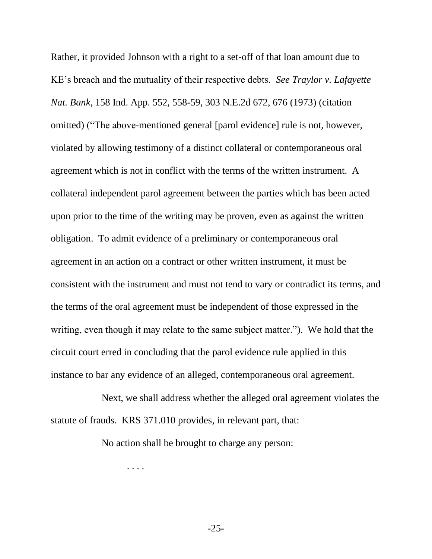Rather, it provided Johnson with a right to a set-off of that loan amount due to KE's breach and the mutuality of their respective debts. *See Traylor v. Lafayette Nat. Bank*, 158 Ind. App. 552, 558-59, 303 N.E.2d 672, 676 (1973) (citation omitted) ("The above-mentioned general [parol evidence] rule is not, however, violated by allowing testimony of a distinct collateral or contemporaneous oral agreement which is not in conflict with the terms of the written instrument. A collateral independent parol agreement between the parties which has been acted upon prior to the time of the writing may be proven, even as against the written obligation. To admit evidence of a preliminary or contemporaneous oral agreement in an action on a contract or other written instrument, it must be consistent with the instrument and must not tend to vary or contradict its terms, and the terms of the oral agreement must be independent of those expressed in the writing, even though it may relate to the same subject matter."). We hold that the circuit court erred in concluding that the parol evidence rule applied in this instance to bar any evidence of an alleged, contemporaneous oral agreement.

Next, we shall address whether the alleged oral agreement violates the statute of frauds. KRS 371.010 provides, in relevant part, that:

No action shall be brought to charge any person:

. . . .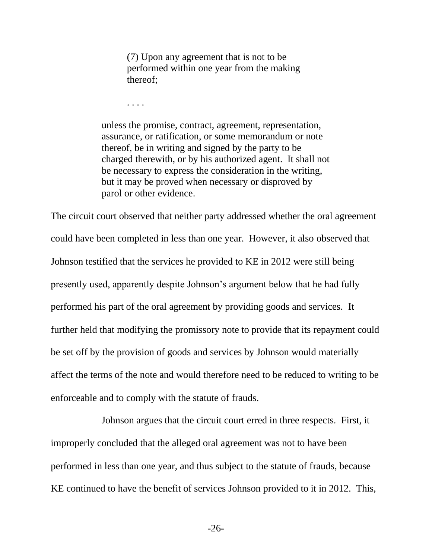(7) Upon any agreement that is not to be performed within one year from the making thereof;

. . . .

unless the promise, contract, agreement, representation, assurance, or ratification, or some memorandum or note thereof, be in writing and signed by the party to be charged therewith, or by his authorized agent. It shall not be necessary to express the consideration in the writing, but it may be proved when necessary or disproved by parol or other evidence.

The circuit court observed that neither party addressed whether the oral agreement could have been completed in less than one year. However, it also observed that Johnson testified that the services he provided to KE in 2012 were still being presently used, apparently despite Johnson's argument below that he had fully performed his part of the oral agreement by providing goods and services. It further held that modifying the promissory note to provide that its repayment could be set off by the provision of goods and services by Johnson would materially affect the terms of the note and would therefore need to be reduced to writing to be enforceable and to comply with the statute of frauds.

Johnson argues that the circuit court erred in three respects. First, it improperly concluded that the alleged oral agreement was not to have been performed in less than one year, and thus subject to the statute of frauds, because KE continued to have the benefit of services Johnson provided to it in 2012. This,

-26-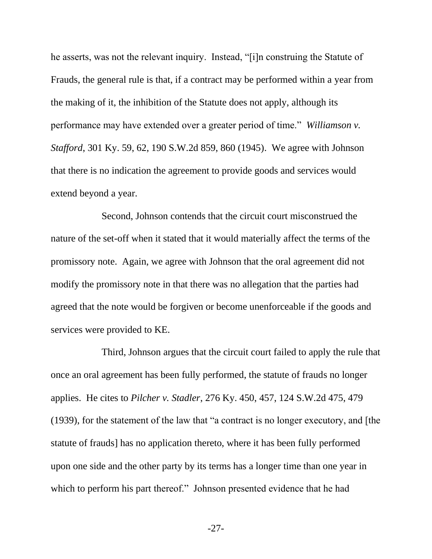he asserts, was not the relevant inquiry. Instead, "[i]n construing the Statute of Frauds, the general rule is that, if a contract may be performed within a year from the making of it, the inhibition of the Statute does not apply, although its performance may have extended over a greater period of time." *Williamson v. Stafford*, 301 Ky. 59, 62, 190 S.W.2d 859, 860 (1945). We agree with Johnson that there is no indication the agreement to provide goods and services would extend beyond a year.

Second, Johnson contends that the circuit court misconstrued the nature of the set-off when it stated that it would materially affect the terms of the promissory note. Again, we agree with Johnson that the oral agreement did not modify the promissory note in that there was no allegation that the parties had agreed that the note would be forgiven or become unenforceable if the goods and services were provided to KE.

Third, Johnson argues that the circuit court failed to apply the rule that once an oral agreement has been fully performed, the statute of frauds no longer applies. He cites to *Pilcher v. Stadler*, 276 Ky. 450, 457, 124 S.W.2d 475, 479 (1939), for the statement of the law that "a contract is no longer executory, and [the statute of frauds] has no application thereto, where it has been fully performed upon one side and the other party by its terms has a longer time than one year in which to perform his part thereof." Johnson presented evidence that he had

-27-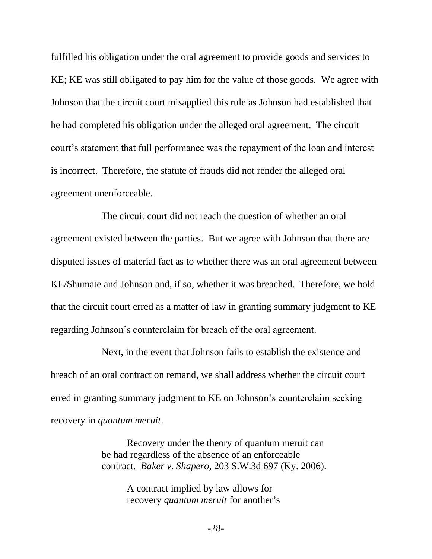fulfilled his obligation under the oral agreement to provide goods and services to KE; KE was still obligated to pay him for the value of those goods. We agree with Johnson that the circuit court misapplied this rule as Johnson had established that he had completed his obligation under the alleged oral agreement. The circuit court's statement that full performance was the repayment of the loan and interest is incorrect. Therefore, the statute of frauds did not render the alleged oral agreement unenforceable.

The circuit court did not reach the question of whether an oral agreement existed between the parties. But we agree with Johnson that there are disputed issues of material fact as to whether there was an oral agreement between KE/Shumate and Johnson and, if so, whether it was breached. Therefore, we hold that the circuit court erred as a matter of law in granting summary judgment to KE regarding Johnson's counterclaim for breach of the oral agreement.

Next, in the event that Johnson fails to establish the existence and breach of an oral contract on remand, we shall address whether the circuit court erred in granting summary judgment to KE on Johnson's counterclaim seeking recovery in *quantum meruit*.

> Recovery under the theory of quantum meruit can be had regardless of the absence of an enforceable contract. *Baker v. Shapero*, 203 S.W.3d 697 (Ky. 2006).

> > A contract implied by law allows for recovery *quantum meruit* for another's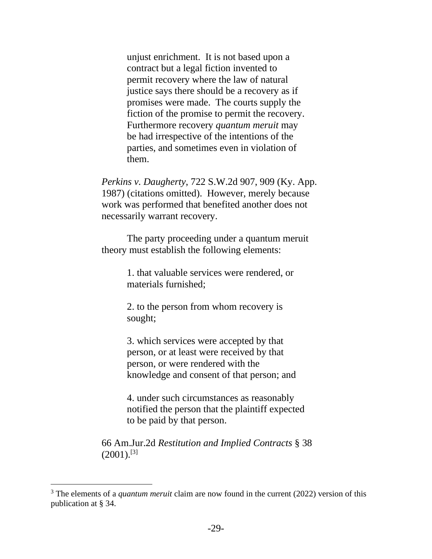unjust enrichment. It is not based upon a contract but a legal fiction invented to permit recovery where the law of natural justice says there should be a recovery as if promises were made. The courts supply the fiction of the promise to permit the recovery. Furthermore recovery *quantum meruit* may be had irrespective of the intentions of the parties, and sometimes even in violation of them.

*Perkins v. Daugherty*, 722 S.W.2d 907, 909 (Ky. App. 1987) (citations omitted). However, merely because work was performed that benefited another does not necessarily warrant recovery.

The party proceeding under a quantum meruit theory must establish the following elements:

> 1. that valuable services were rendered, or materials furnished;

2. to the person from whom recovery is sought;

3. which services were accepted by that person, or at least were received by that person, or were rendered with the knowledge and consent of that person; and

4. under such circumstances as reasonably notified the person that the plaintiff expected to be paid by that person.

66 Am.Jur.2d *Restitution and Implied Contracts* § 38  $(2001).$ <sup>[3]</sup>

<sup>&</sup>lt;sup>3</sup> The elements of a *quantum meruit* claim are now found in the current (2022) version of this publication at § 34.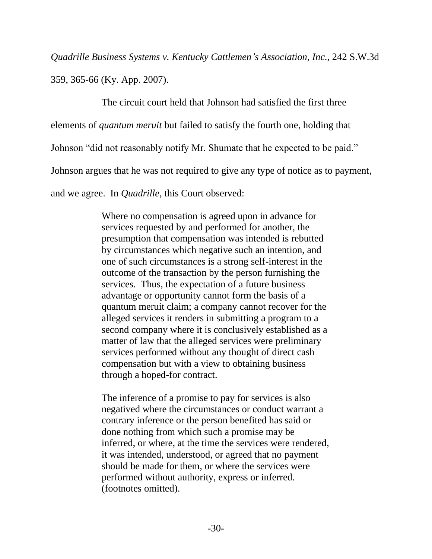*Quadrille Business Systems v. Kentucky Cattlemen's Association, Inc.*, 242 S.W.3d

359, 365-66 (Ky. App. 2007).

The circuit court held that Johnson had satisfied the first three

elements of *quantum meruit* but failed to satisfy the fourth one, holding that

Johnson "did not reasonably notify Mr. Shumate that he expected to be paid."

Johnson argues that he was not required to give any type of notice as to payment,

and we agree. In *Quadrille*, this Court observed:

Where no compensation is agreed upon in advance for services requested by and performed for another, the presumption that compensation was intended is rebutted by circumstances which negative such an intention, and one of such circumstances is a strong self-interest in the outcome of the transaction by the person furnishing the services. Thus, the expectation of a future business advantage or opportunity cannot form the basis of a quantum meruit claim; a company cannot recover for the alleged services it renders in submitting a program to a second company where it is conclusively established as a matter of law that the alleged services were preliminary services performed without any thought of direct cash compensation but with a view to obtaining business through a hoped-for contract.

The inference of a promise to pay for services is also negatived where the circumstances or conduct warrant a contrary inference or the person benefited has said or done nothing from which such a promise may be inferred, or where, at the time the services were rendered, it was intended, understood, or agreed that no payment should be made for them, or where the services were performed without authority, express or inferred. (footnotes omitted).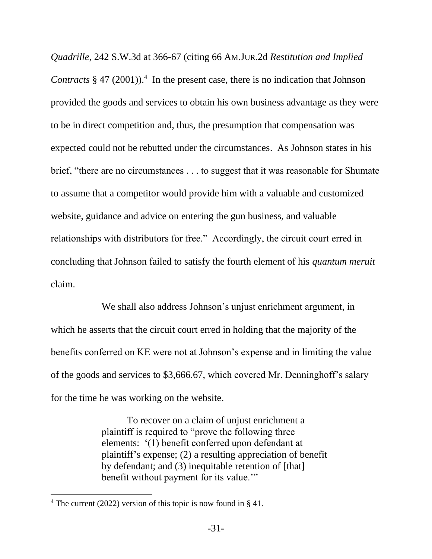*Quadrille*, 242 S.W.3d at 366-67 (citing 66 AM.JUR.2d *Restitution and Implied Contracts* § 47 (2001)).<sup>4</sup> In the present case, there is no indication that Johnson provided the goods and services to obtain his own business advantage as they were to be in direct competition and, thus, the presumption that compensation was expected could not be rebutted under the circumstances. As Johnson states in his brief, "there are no circumstances . . . to suggest that it was reasonable for Shumate to assume that a competitor would provide him with a valuable and customized website, guidance and advice on entering the gun business, and valuable relationships with distributors for free." Accordingly, the circuit court erred in concluding that Johnson failed to satisfy the fourth element of his *quantum meruit* claim.

We shall also address Johnson's unjust enrichment argument, in which he asserts that the circuit court erred in holding that the majority of the benefits conferred on KE were not at Johnson's expense and in limiting the value of the goods and services to \$3,666.67, which covered Mr. Denninghoff's salary for the time he was working on the website.

> To recover on a claim of unjust enrichment a plaintiff is required to "prove the following three elements: '(1) benefit conferred upon defendant at plaintiff's expense; (2) a resulting appreciation of benefit by defendant; and (3) inequitable retention of [that] benefit without payment for its value."

<sup>4</sup> The current (2022) version of this topic is now found in § 41.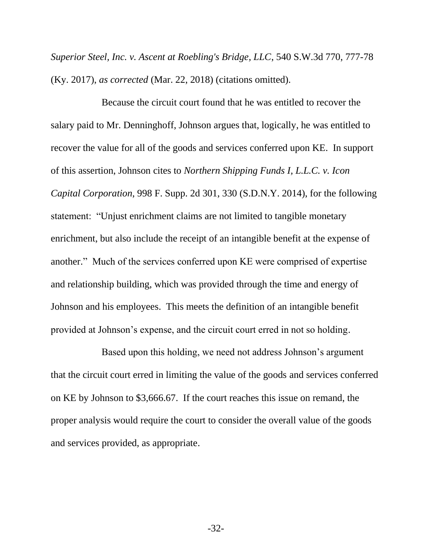*Superior Steel, Inc. v. Ascent at Roebling's Bridge, LLC*, 540 S.W.3d 770, 777-78 (Ky. 2017), *as corrected* (Mar. 22, 2018) (citations omitted).

Because the circuit court found that he was entitled to recover the salary paid to Mr. Denninghoff, Johnson argues that, logically, he was entitled to recover the value for all of the goods and services conferred upon KE. In support of this assertion, Johnson cites to *Northern Shipping Funds I, L.L.C. v. Icon Capital Corporation*, 998 F. Supp. 2d 301, 330 (S.D.N.Y. 2014), for the following statement: "Unjust enrichment claims are not limited to tangible monetary enrichment, but also include the receipt of an intangible benefit at the expense of another." Much of the services conferred upon KE were comprised of expertise and relationship building, which was provided through the time and energy of Johnson and his employees. This meets the definition of an intangible benefit provided at Johnson's expense, and the circuit court erred in not so holding.

Based upon this holding, we need not address Johnson's argument that the circuit court erred in limiting the value of the goods and services conferred on KE by Johnson to \$3,666.67. If the court reaches this issue on remand, the proper analysis would require the court to consider the overall value of the goods and services provided, as appropriate.